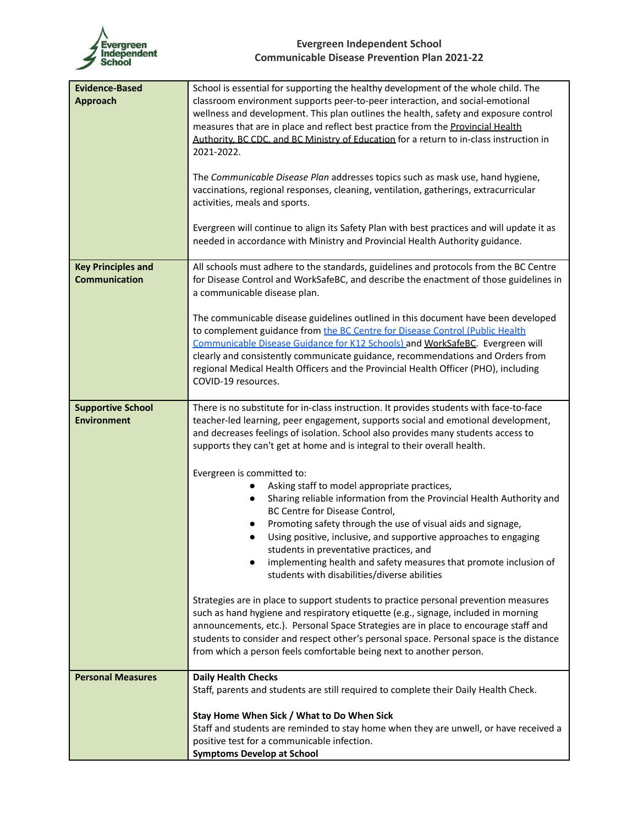

| <b>Evidence-Based</b><br><b>Approach</b>          | School is essential for supporting the healthy development of the whole child. The<br>classroom environment supports peer-to-peer interaction, and social-emotional<br>wellness and development. This plan outlines the health, safety and exposure control<br>measures that are in place and reflect best practice from the Provincial Health<br>Authority, BC CDC, and BC Ministry of Education for a return to in-class instruction in<br>2021-2022.                                                             |
|---------------------------------------------------|---------------------------------------------------------------------------------------------------------------------------------------------------------------------------------------------------------------------------------------------------------------------------------------------------------------------------------------------------------------------------------------------------------------------------------------------------------------------------------------------------------------------|
|                                                   | The Communicable Disease Plan addresses topics such as mask use, hand hygiene,<br>vaccinations, regional responses, cleaning, ventilation, gatherings, extracurricular<br>activities, meals and sports.                                                                                                                                                                                                                                                                                                             |
|                                                   | Evergreen will continue to align its Safety Plan with best practices and will update it as<br>needed in accordance with Ministry and Provincial Health Authority guidance.                                                                                                                                                                                                                                                                                                                                          |
| <b>Key Principles and</b><br><b>Communication</b> | All schools must adhere to the standards, guidelines and protocols from the BC Centre<br>for Disease Control and WorkSafeBC, and describe the enactment of those guidelines in<br>a communicable disease plan.                                                                                                                                                                                                                                                                                                      |
|                                                   | The communicable disease guidelines outlined in this document have been developed<br>to complement guidance from the BC Centre for Disease Control (Public Health<br>Communicable Disease Guidance for K12 Schools) and WorkSafeBC. Evergreen will<br>clearly and consistently communicate guidance, recommendations and Orders from<br>regional Medical Health Officers and the Provincial Health Officer (PHO), including<br>COVID-19 resources.                                                                  |
| <b>Supportive School</b><br><b>Environment</b>    | There is no substitute for in-class instruction. It provides students with face-to-face<br>teacher-led learning, peer engagement, supports social and emotional development,<br>and decreases feelings of isolation. School also provides many students access to<br>supports they can't get at home and is integral to their overall health.                                                                                                                                                                       |
|                                                   | Evergreen is committed to:<br>Asking staff to model appropriate practices,<br>$\bullet$<br>Sharing reliable information from the Provincial Health Authority and<br>$\bullet$<br>BC Centre for Disease Control,<br>Promoting safety through the use of visual aids and signage,<br>Using positive, inclusive, and supportive approaches to engaging<br>students in preventative practices, and<br>implementing health and safety measures that promote inclusion of<br>students with disabilities/diverse abilities |
|                                                   | Strategies are in place to support students to practice personal prevention measures<br>such as hand hygiene and respiratory etiquette (e.g., signage, included in morning<br>announcements, etc.). Personal Space Strategies are in place to encourage staff and<br>students to consider and respect other's personal space. Personal space is the distance<br>from which a person feels comfortable being next to another person.                                                                                 |
| <b>Personal Measures</b>                          | <b>Daily Health Checks</b>                                                                                                                                                                                                                                                                                                                                                                                                                                                                                          |
|                                                   | Staff, parents and students are still required to complete their Daily Health Check.                                                                                                                                                                                                                                                                                                                                                                                                                                |
|                                                   | Stay Home When Sick / What to Do When Sick<br>Staff and students are reminded to stay home when they are unwell, or have received a<br>positive test for a communicable infection.<br><b>Symptoms Develop at School</b>                                                                                                                                                                                                                                                                                             |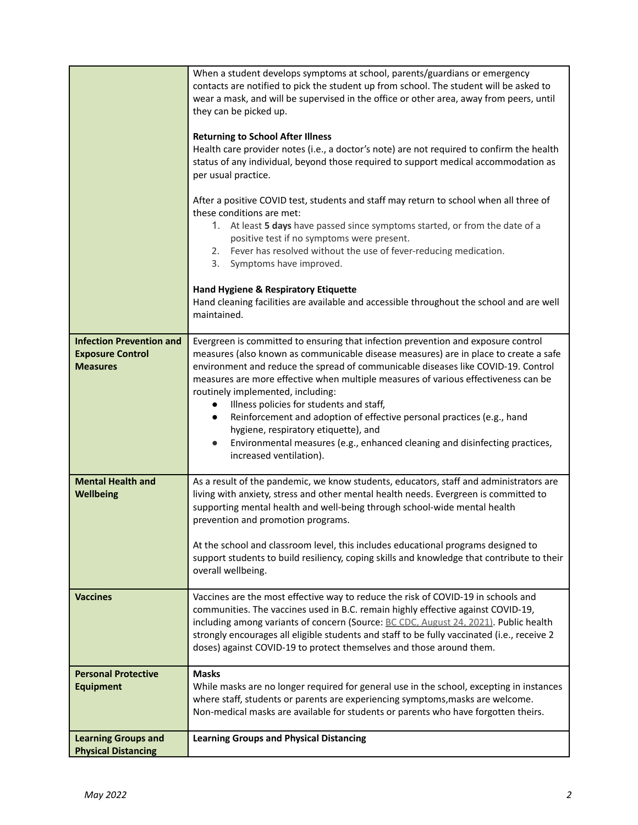|                                                                               | When a student develops symptoms at school, parents/guardians or emergency<br>contacts are notified to pick the student up from school. The student will be asked to<br>wear a mask, and will be supervised in the office or other area, away from peers, until<br>they can be picked up.<br><b>Returning to School After Illness</b><br>Health care provider notes (i.e., a doctor's note) are not required to confirm the health<br>status of any individual, beyond those required to support medical accommodation as<br>per usual practice.<br>After a positive COVID test, students and staff may return to school when all three of<br>these conditions are met:<br>1. At least 5 days have passed since symptoms started, or from the date of a<br>positive test if no symptoms were present.<br>2. Fever has resolved without the use of fever-reducing medication.<br>3. Symptoms have improved.<br><b>Hand Hygiene &amp; Respiratory Etiquette</b><br>Hand cleaning facilities are available and accessible throughout the school and are well<br>maintained. |
|-------------------------------------------------------------------------------|--------------------------------------------------------------------------------------------------------------------------------------------------------------------------------------------------------------------------------------------------------------------------------------------------------------------------------------------------------------------------------------------------------------------------------------------------------------------------------------------------------------------------------------------------------------------------------------------------------------------------------------------------------------------------------------------------------------------------------------------------------------------------------------------------------------------------------------------------------------------------------------------------------------------------------------------------------------------------------------------------------------------------------------------------------------------------|
| <b>Infection Prevention and</b><br><b>Exposure Control</b><br><b>Measures</b> | Evergreen is committed to ensuring that infection prevention and exposure control<br>measures (also known as communicable disease measures) are in place to create a safe<br>environment and reduce the spread of communicable diseases like COVID-19. Control<br>measures are more effective when multiple measures of various effectiveness can be<br>routinely implemented, including:<br>Illness policies for students and staff,<br>$\bullet$<br>Reinforcement and adoption of effective personal practices (e.g., hand<br>$\bullet$<br>hygiene, respiratory etiquette), and<br>Environmental measures (e.g., enhanced cleaning and disinfecting practices,<br>$\bullet$<br>increased ventilation).                                                                                                                                                                                                                                                                                                                                                                 |
| <b>Mental Health and</b><br>Wellbeing                                         | As a result of the pandemic, we know students, educators, staff and administrators are<br>living with anxiety, stress and other mental health needs. Evergreen is committed to<br>supporting mental health and well-being through school-wide mental health<br>prevention and promotion programs.<br>At the school and classroom level, this includes educational programs designed to<br>support students to build resiliency, coping skills and knowledge that contribute to their<br>overall wellbeing.                                                                                                                                                                                                                                                                                                                                                                                                                                                                                                                                                               |
| <b>Vaccines</b>                                                               | Vaccines are the most effective way to reduce the risk of COVID-19 in schools and<br>communities. The vaccines used in B.C. remain highly effective against COVID-19,<br>including among variants of concern (Source: BC CDC, August 24, 2021). Public health<br>strongly encourages all eligible students and staff to be fully vaccinated (i.e., receive 2<br>doses) against COVID-19 to protect themselves and those around them.                                                                                                                                                                                                                                                                                                                                                                                                                                                                                                                                                                                                                                     |
| <b>Personal Protective</b><br><b>Equipment</b>                                | <b>Masks</b><br>While masks are no longer required for general use in the school, excepting in instances<br>where staff, students or parents are experiencing symptoms, masks are welcome.<br>Non-medical masks are available for students or parents who have forgotten theirs.                                                                                                                                                                                                                                                                                                                                                                                                                                                                                                                                                                                                                                                                                                                                                                                         |
| <b>Learning Groups and</b><br><b>Physical Distancing</b>                      | <b>Learning Groups and Physical Distancing</b>                                                                                                                                                                                                                                                                                                                                                                                                                                                                                                                                                                                                                                                                                                                                                                                                                                                                                                                                                                                                                           |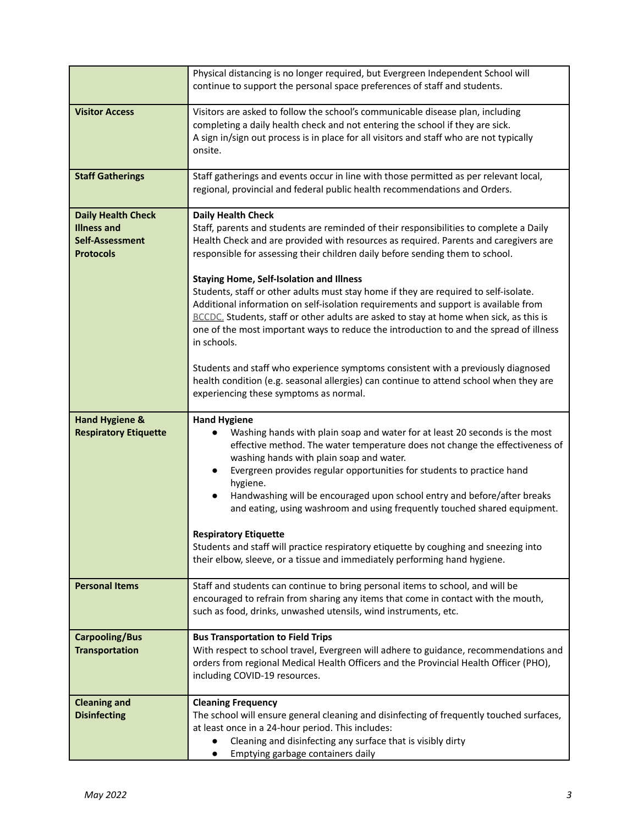|                                                                                        | Physical distancing is no longer required, but Evergreen Independent School will<br>continue to support the personal space preferences of staff and students.                                                                                                                                                                                                                                                                                                                                                                                                                                                                                                                                                                                                                                                                                                                                                    |
|----------------------------------------------------------------------------------------|------------------------------------------------------------------------------------------------------------------------------------------------------------------------------------------------------------------------------------------------------------------------------------------------------------------------------------------------------------------------------------------------------------------------------------------------------------------------------------------------------------------------------------------------------------------------------------------------------------------------------------------------------------------------------------------------------------------------------------------------------------------------------------------------------------------------------------------------------------------------------------------------------------------|
| <b>Visitor Access</b>                                                                  | Visitors are asked to follow the school's communicable disease plan, including<br>completing a daily health check and not entering the school if they are sick.<br>A sign in/sign out process is in place for all visitors and staff who are not typically<br>onsite.                                                                                                                                                                                                                                                                                                                                                                                                                                                                                                                                                                                                                                            |
| <b>Staff Gatherings</b>                                                                | Staff gatherings and events occur in line with those permitted as per relevant local,<br>regional, provincial and federal public health recommendations and Orders.                                                                                                                                                                                                                                                                                                                                                                                                                                                                                                                                                                                                                                                                                                                                              |
| <b>Daily Health Check</b><br><b>Illness and</b><br>Self-Assessment<br><b>Protocols</b> | <b>Daily Health Check</b><br>Staff, parents and students are reminded of their responsibilities to complete a Daily<br>Health Check and are provided with resources as required. Parents and caregivers are<br>responsible for assessing their children daily before sending them to school.<br><b>Staying Home, Self-Isolation and Illness</b><br>Students, staff or other adults must stay home if they are required to self-isolate.<br>Additional information on self-isolation requirements and support is available from<br>BCCDC. Students, staff or other adults are asked to stay at home when sick, as this is<br>one of the most important ways to reduce the introduction to and the spread of illness<br>in schools.<br>Students and staff who experience symptoms consistent with a previously diagnosed<br>health condition (e.g. seasonal allergies) can continue to attend school when they are |
|                                                                                        | experiencing these symptoms as normal.                                                                                                                                                                                                                                                                                                                                                                                                                                                                                                                                                                                                                                                                                                                                                                                                                                                                           |
| <b>Hand Hygiene &amp;</b><br><b>Respiratory Etiquette</b>                              | <b>Hand Hygiene</b><br>Washing hands with plain soap and water for at least 20 seconds is the most<br>effective method. The water temperature does not change the effectiveness of<br>washing hands with plain soap and water.<br>Evergreen provides regular opportunities for students to practice hand<br>hygiene.<br>Handwashing will be encouraged upon school entry and before/after breaks<br>and eating, using washroom and using frequently touched shared equipment.<br><b>Respiratory Etiquette</b>                                                                                                                                                                                                                                                                                                                                                                                                    |
|                                                                                        | Students and staff will practice respiratory etiquette by coughing and sneezing into<br>their elbow, sleeve, or a tissue and immediately performing hand hygiene.                                                                                                                                                                                                                                                                                                                                                                                                                                                                                                                                                                                                                                                                                                                                                |
| <b>Personal Items</b>                                                                  | Staff and students can continue to bring personal items to school, and will be<br>encouraged to refrain from sharing any items that come in contact with the mouth,<br>such as food, drinks, unwashed utensils, wind instruments, etc.                                                                                                                                                                                                                                                                                                                                                                                                                                                                                                                                                                                                                                                                           |
| <b>Carpooling/Bus</b><br><b>Transportation</b>                                         | <b>Bus Transportation to Field Trips</b><br>With respect to school travel, Evergreen will adhere to guidance, recommendations and<br>orders from regional Medical Health Officers and the Provincial Health Officer (PHO),<br>including COVID-19 resources.                                                                                                                                                                                                                                                                                                                                                                                                                                                                                                                                                                                                                                                      |
| <b>Cleaning and</b><br><b>Disinfecting</b>                                             | <b>Cleaning Frequency</b><br>The school will ensure general cleaning and disinfecting of frequently touched surfaces,<br>at least once in a 24-hour period. This includes:<br>Cleaning and disinfecting any surface that is visibly dirty<br>Emptying garbage containers daily                                                                                                                                                                                                                                                                                                                                                                                                                                                                                                                                                                                                                                   |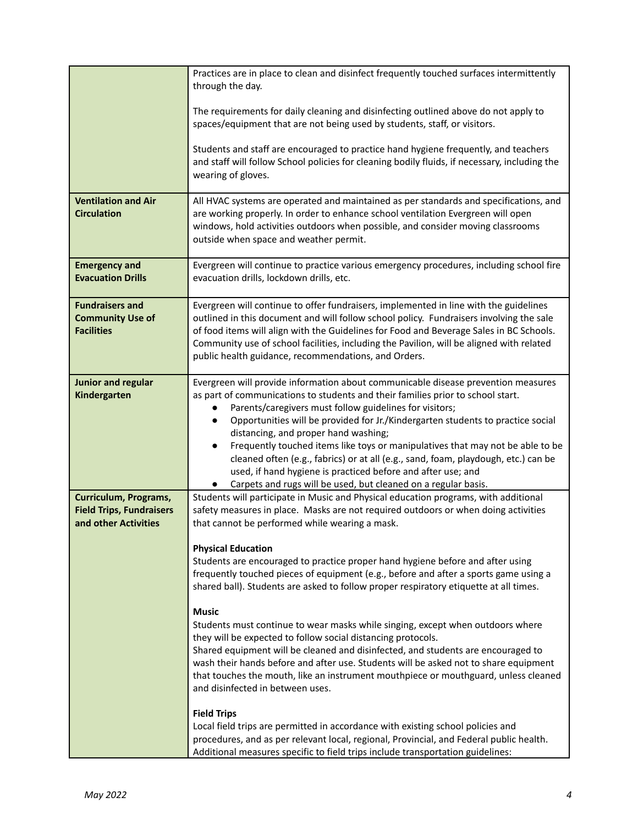|                                                                                  | Practices are in place to clean and disinfect frequently touched surfaces intermittently<br>through the day.<br>The requirements for daily cleaning and disinfecting outlined above do not apply to<br>spaces/equipment that are not being used by students, staff, or visitors.<br>Students and staff are encouraged to practice hand hygiene frequently, and teachers                                                                                                                                                                                                                                                                                                                        |
|----------------------------------------------------------------------------------|------------------------------------------------------------------------------------------------------------------------------------------------------------------------------------------------------------------------------------------------------------------------------------------------------------------------------------------------------------------------------------------------------------------------------------------------------------------------------------------------------------------------------------------------------------------------------------------------------------------------------------------------------------------------------------------------|
|                                                                                  | and staff will follow School policies for cleaning bodily fluids, if necessary, including the<br>wearing of gloves.                                                                                                                                                                                                                                                                                                                                                                                                                                                                                                                                                                            |
| <b>Ventilation and Air</b><br><b>Circulation</b>                                 | All HVAC systems are operated and maintained as per standards and specifications, and<br>are working properly. In order to enhance school ventilation Evergreen will open<br>windows, hold activities outdoors when possible, and consider moving classrooms<br>outside when space and weather permit.                                                                                                                                                                                                                                                                                                                                                                                         |
| <b>Emergency and</b><br><b>Evacuation Drills</b>                                 | Evergreen will continue to practice various emergency procedures, including school fire<br>evacuation drills, lockdown drills, etc.                                                                                                                                                                                                                                                                                                                                                                                                                                                                                                                                                            |
| <b>Fundraisers and</b><br><b>Community Use of</b><br><b>Facilities</b>           | Evergreen will continue to offer fundraisers, implemented in line with the guidelines<br>outlined in this document and will follow school policy. Fundraisers involving the sale<br>of food items will align with the Guidelines for Food and Beverage Sales in BC Schools.<br>Community use of school facilities, including the Pavilion, will be aligned with related<br>public health guidance, recommendations, and Orders.                                                                                                                                                                                                                                                                |
| <b>Junior and regular</b><br>Kindergarten                                        | Evergreen will provide information about communicable disease prevention measures<br>as part of communications to students and their families prior to school start.<br>Parents/caregivers must follow guidelines for visitors;<br>Opportunities will be provided for Jr./Kindergarten students to practice social<br>distancing, and proper hand washing;<br>Frequently touched items like toys or manipulatives that may not be able to be<br>$\bullet$<br>cleaned often (e.g., fabrics) or at all (e.g., sand, foam, playdough, etc.) can be<br>used, if hand hygiene is practiced before and after use; and<br>Carpets and rugs will be used, but cleaned on a regular basis.<br>$\bullet$ |
| Curriculum, Programs,<br><b>Field Trips, Fundraisers</b><br>and other Activities | Students will participate in Music and Physical education programs, with additional<br>safety measures in place. Masks are not required outdoors or when doing activities<br>that cannot be performed while wearing a mask.                                                                                                                                                                                                                                                                                                                                                                                                                                                                    |
|                                                                                  | <b>Physical Education</b><br>Students are encouraged to practice proper hand hygiene before and after using<br>frequently touched pieces of equipment (e.g., before and after a sports game using a<br>shared ball). Students are asked to follow proper respiratory etiquette at all times.                                                                                                                                                                                                                                                                                                                                                                                                   |
|                                                                                  | <b>Music</b><br>Students must continue to wear masks while singing, except when outdoors where<br>they will be expected to follow social distancing protocols.<br>Shared equipment will be cleaned and disinfected, and students are encouraged to<br>wash their hands before and after use. Students will be asked not to share equipment<br>that touches the mouth, like an instrument mouthpiece or mouthguard, unless cleaned<br>and disinfected in between uses.                                                                                                                                                                                                                          |
|                                                                                  | <b>Field Trips</b><br>Local field trips are permitted in accordance with existing school policies and<br>procedures, and as per relevant local, regional, Provincial, and Federal public health.<br>Additional measures specific to field trips include transportation guidelines:                                                                                                                                                                                                                                                                                                                                                                                                             |